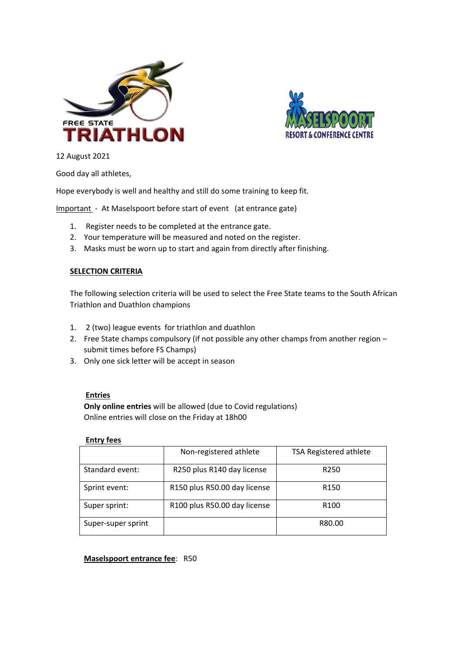



12 August 2021

Good day all athletes,

Hope everybody is well and healthy and still do some training to keep fit.

Important - At Maselspoort before start of event (at entrance gate)

- 1. Register needs to be completed at the entrance gate.
- 2. Your temperature will be measured and noted on the register.
- 3. Masks must be worn up to start and again from directly after finishing.

## **SELECTION CRITERIA**

The following selection criteria will be used to select the Free State teams to the South African Triathlon and Duathlon champions

- 1. 2 (two) league events for triathlon and duathlon
- 2. Free State champs compulsory (if not possible any other champs from another region submit times before FS Champs)
- 3. Only one sick letter will be accept in season

## **Entries**

**Only online entries** will be allowed (due to Covid regulations) Online entries will close on the Friday at 18h00

|                    | Non-registered athlete       | <b>TSA Registered athlete</b> |  |
|--------------------|------------------------------|-------------------------------|--|
| Standard event:    | R250 plus R140 day license   | R <sub>250</sub>              |  |
| Sprint event:      | R150 plus R50.00 day license | R <sub>150</sub>              |  |
| Super sprint:      | R100 plus R50.00 day license | R <sub>100</sub>              |  |
| Super-super sprint |                              | R80.00                        |  |

**Maselspoort entrance fee**: R50